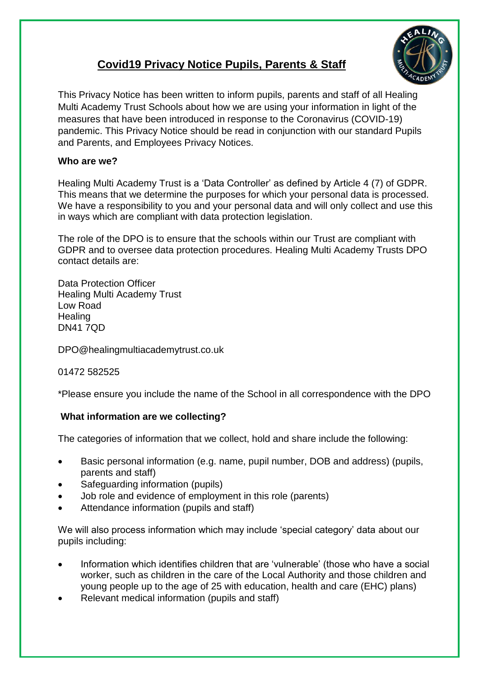# **Covid19 Privacy Notice Pupils, Parents & Staff**



This Privacy Notice has been written to inform pupils, parents and staff of all Healing Multi Academy Trust Schools about how we are using your information in light of the measures that have been introduced in response to the Coronavirus (COVID-19) pandemic. This Privacy Notice should be read in conjunction with our standard Pupils and Parents, and Employees Privacy Notices.

# **Who are we?**

Healing Multi Academy Trust is a 'Data Controller' as defined by Article 4 (7) of GDPR. This means that we determine the purposes for which your personal data is processed. We have a responsibility to you and your personal data and will only collect and use this in ways which are compliant with data protection legislation.

The role of the DPO is to ensure that the schools within our Trust are compliant with GDPR and to oversee data protection procedures. Healing Multi Academy Trusts DPO contact details are:

Data Protection Officer Healing Multi Academy Trust Low Road **Healing** DN41 7QD

DPO@healingmultiacademytrust.co.uk

# 01472 582525

\*Please ensure you include the name of the School in all correspondence with the DPO

# **What information are we collecting?**

The categories of information that we collect, hold and share include the following:

- Basic personal information (e.g. name, pupil number, DOB and address) (pupils, parents and staff)
- Safeguarding information (pupils)
- Job role and evidence of employment in this role (parents)
- Attendance information (pupils and staff)

We will also process information which may include 'special category' data about our pupils including:

- Information which identifies children that are 'vulnerable' (those who have a social worker, such as children in the care of the Local Authority and those children and young people up to the age of 25 with education, health and care (EHC) plans)
- Relevant medical information (pupils and staff)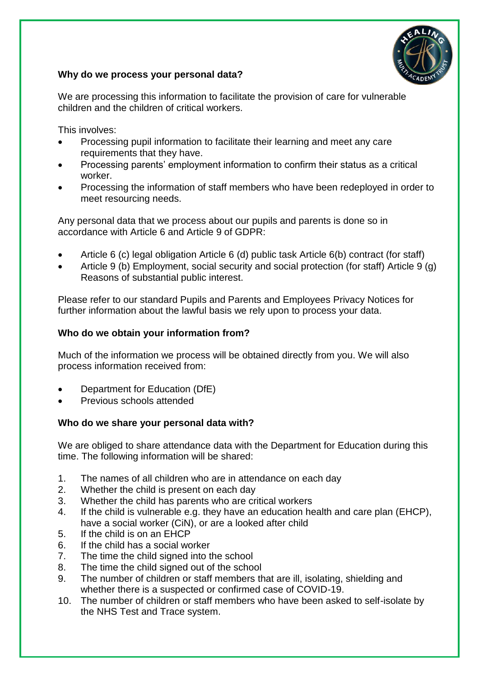

# **Why do we process your personal data?**

We are processing this information to facilitate the provision of care for vulnerable children and the children of critical workers.

This involves:

- Processing pupil information to facilitate their learning and meet any care requirements that they have.
- Processing parents' employment information to confirm their status as a critical worker.
- Processing the information of staff members who have been redeployed in order to meet resourcing needs.

Any personal data that we process about our pupils and parents is done so in accordance with Article 6 and Article 9 of GDPR:

- Article 6 (c) legal obligation Article 6 (d) public task Article 6(b) contract (for staff)
- Article 9 (b) Employment, social security and social protection (for staff) Article 9 (g) Reasons of substantial public interest.

Please refer to our standard Pupils and Parents and Employees Privacy Notices for further information about the lawful basis we rely upon to process your data.

# **Who do we obtain your information from?**

Much of the information we process will be obtained directly from you. We will also process information received from:

- Department for Education (DfE)
- Previous schools attended

# **Who do we share your personal data with?**

We are obliged to share attendance data with the Department for Education during this time. The following information will be shared:

- 1. The names of all children who are in attendance on each day
- 2. Whether the child is present on each day
- 3. Whether the child has parents who are critical workers
- 4. If the child is vulnerable e.g. they have an education health and care plan (EHCP), have a social worker (CiN), or are a looked after child
- 5. If the child is on an EHCP
- 6. If the child has a social worker
- 7. The time the child signed into the school
- 8. The time the child signed out of the school
- 9. The number of children or staff members that are ill, isolating, shielding and whether there is a suspected or confirmed case of COVID-19.
- 10. The number of children or staff members who have been asked to self-isolate by the NHS Test and Trace system.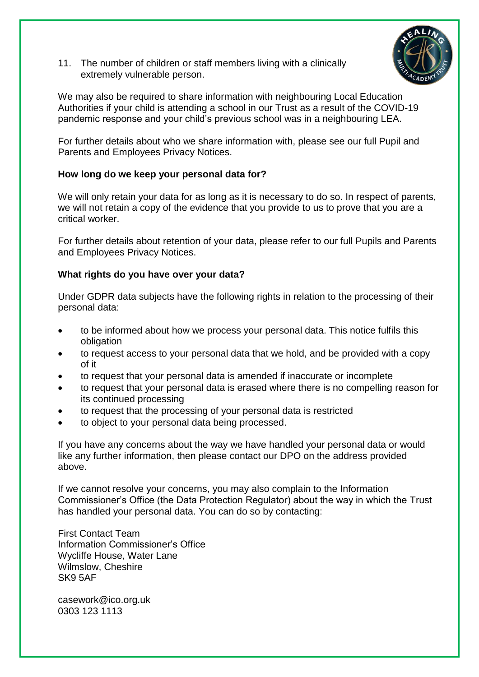11. The number of children or staff members living with a clinically extremely vulnerable person.



We may also be required to share information with neighbouring Local Education Authorities if your child is attending a school in our Trust as a result of the COVID-19 pandemic response and your child's previous school was in a neighbouring LEA.

For further details about who we share information with, please see our full Pupil and Parents and Employees Privacy Notices.

### **How long do we keep your personal data for?**

We will only retain your data for as long as it is necessary to do so. In respect of parents, we will not retain a copy of the evidence that you provide to us to prove that you are a critical worker.

For further details about retention of your data, please refer to our full Pupils and Parents and Employees Privacy Notices.

### **What rights do you have over your data?**

Under GDPR data subjects have the following rights in relation to the processing of their personal data:

- to be informed about how we process your personal data. This notice fulfils this obligation
- to request access to your personal data that we hold, and be provided with a copy of it
- to request that your personal data is amended if inaccurate or incomplete
- to request that your personal data is erased where there is no compelling reason for its continued processing
- to request that the processing of your personal data is restricted
- to object to your personal data being processed.

If you have any concerns about the way we have handled your personal data or would like any further information, then please contact our DPO on the address provided above.

If we cannot resolve your concerns, you may also complain to the Information Commissioner's Office (the Data Protection Regulator) about the way in which the Trust has handled your personal data. You can do so by contacting:

First Contact Team Information Commissioner's Office Wycliffe House, Water Lane Wilmslow, Cheshire SK9 5AF

casework@ico.org.uk 0303 123 1113